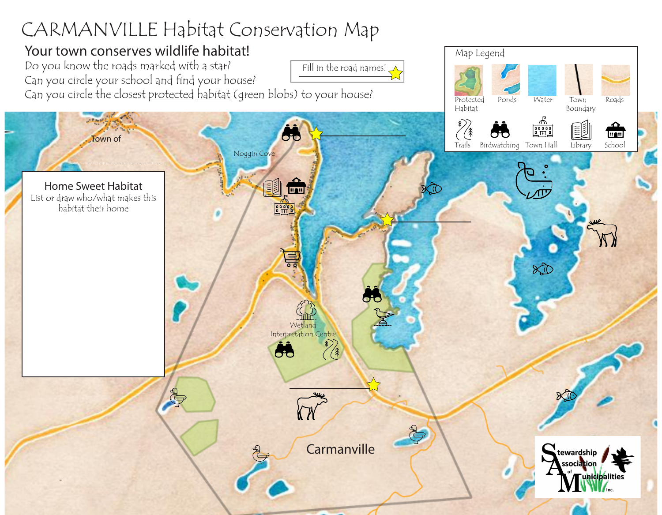## CARMANVILLE Habitat Conservation Map